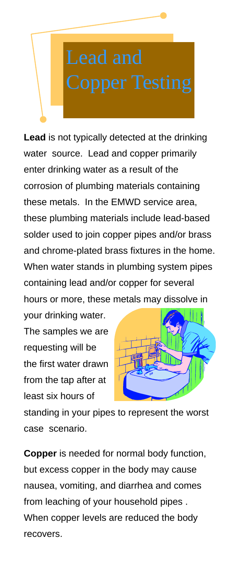**Lead** is not typically detected at the drinking water source. Lead and copper primarily enter drinking water as a result of the corrosion of plumbing materials containing these metals. In the EMWD service area, these plumbing materials include lead-based solder used to join copper pipes and/or brass and chrome-plated brass fixtures in the home. When water stands in plumbing system pipes containing lead and/or copper for several hours or more, these metals may dissolve in

your drinking water. The samples we are requesting will be the first water drawn from the tap after at least six hours of



standing in your pipes to represent the worst case scenario.

**Copper** is needed for normal body function, but excess copper in the body may cause nausea, vomiting, and diarrhea and comes from leaching of your household pipes . When copper levels are reduced the body recovers.